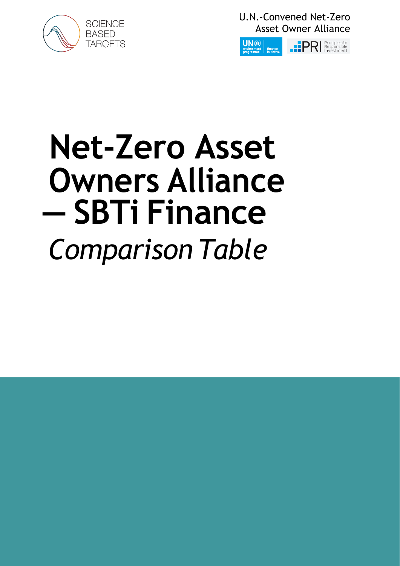

U.N.-Convened Net-Zero Asset Owner Alliance



## **Net-Zero Asset Owners Alliance — SBTi Finance** *Comparison Table*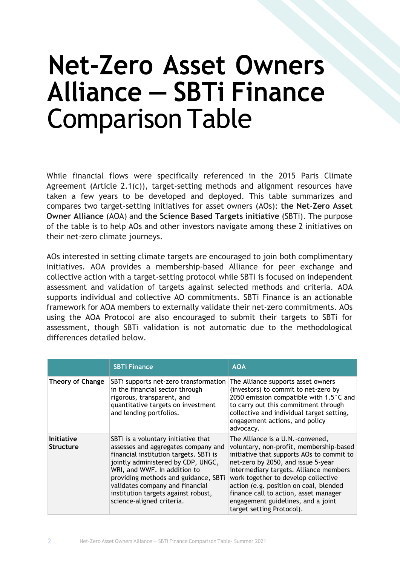## **Net-Zero Asset Owners Alliance — SBTi Finance** Comparison Table

While financial flows were specifically referenced in the 2015 Paris Climate Agreement (Article 2.1(c)), target-setting methods and alignment resources have taken a few years to be developed and deployed. This table summarizes and compares two target-setting initiatives for asset owners (AOs): **the Net**-**Zero Asset Owner Alliance** (AOA) and **the Science Based Targets initiative** (SBTi). The purpose of the table is to help AOs and other investors navigate among these 2 initiatives on their net-zero climate journeys.

AOs interested in setting climate targets are encouraged to join both complimentary initiatives. AOA provides a membership-based Alliance for peer exchange and collective action with a target-setting protocol while SBTi is focused on independent assessment and validation of targets against selected methods and criteria. AOA supports individual and collective AO commitments. SBTi Finance is an actionable framework for AOA members to externally validate their net-zero commitments. AOs using the AOA Protocol are also encouraged to submit their targets to SBTi for assessment, though SBTi validation is not automatic due to the methodological differences detailed below.

|                                       | <b>SBTi Finance</b>                                                                                                                                                                                                                                                                                                                       | <b>AOA</b>                                                                                                                                                                                                                                                                                                                                                                                            |
|---------------------------------------|-------------------------------------------------------------------------------------------------------------------------------------------------------------------------------------------------------------------------------------------------------------------------------------------------------------------------------------------|-------------------------------------------------------------------------------------------------------------------------------------------------------------------------------------------------------------------------------------------------------------------------------------------------------------------------------------------------------------------------------------------------------|
| <b>Theory of Change</b>               | SBTi supports net-zero transformation<br>in the financial sector through<br>rigorous, transparent, and<br>quantitative targets on investment<br>and lending portfolios.                                                                                                                                                                   | The Alliance supports asset owners<br>(investors) to commit to net-zero by<br>2050 emission compatible with 1.5°C and<br>to carry out this commitment through<br>collective and individual target setting,<br>engagement actions, and policy<br>advocacy.                                                                                                                                             |
| <b>Initiative</b><br><b>Structure</b> | SBTi is a voluntary initiative that<br>assesses and aggregates company and<br>financial institution targets. SBTi is<br>jointly administered by CDP, UNGC,<br>WRI, and WWF. In addition to<br>providing methods and guidance, SBTi<br>validates company and financial<br>institution targets against robust,<br>science-aligned criteria. | The Alliance is a U.N.-convened,<br>voluntary, non-profit, membership-based<br>initiative that supports AOs to commit to<br>net-zero by 2050, and issue 5-year<br>intermediary targets. Alliance members<br>work together to develop collective<br>action (e.g. position on coal, blended<br>finance call to action, asset manager<br>engagement guidelines, and a joint<br>target setting Protocol). |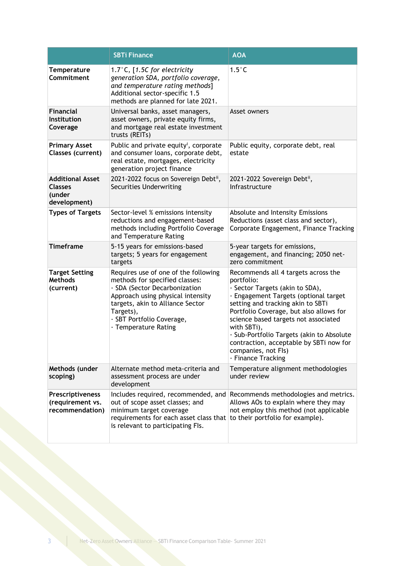|                                                                     | <b>SBTi Finance</b>                                                                                                                                                                                                                                | <b>AOA</b>                                                                                                                                                                                                                                                                                                                                                                                                |
|---------------------------------------------------------------------|----------------------------------------------------------------------------------------------------------------------------------------------------------------------------------------------------------------------------------------------------|-----------------------------------------------------------------------------------------------------------------------------------------------------------------------------------------------------------------------------------------------------------------------------------------------------------------------------------------------------------------------------------------------------------|
| <b>Temperature</b><br>Commitment                                    | 1.7 $°C$ , [1.5C for electricity<br>generation SDA, portfolio coverage,<br>and temperature rating methods]<br>Additional sector-specific 1.5<br>methods are planned for late 2021.                                                                 | $1.5^{\circ}$ C                                                                                                                                                                                                                                                                                                                                                                                           |
| <b>Financial</b><br><b>Institution</b><br>Coverage                  | Universal banks, asset managers,<br>asset owners, private equity firms,<br>and mortgage real estate investment<br>trusts (REITs)                                                                                                                   | Asset owners                                                                                                                                                                                                                                                                                                                                                                                              |
| <b>Primary Asset</b><br>Classes (current)                           | Public and private equity <sup>i</sup> , corporate<br>and consumer loans, corporate debt,<br>real estate, mortgages, electricity<br>generation project finance                                                                                     | Public equity, corporate debt, real<br>estate                                                                                                                                                                                                                                                                                                                                                             |
| <b>Additional Asset</b><br><b>Classes</b><br>(under<br>development) | 2021-2022 focus on Sovereign Debtii,<br>Securities Underwriting                                                                                                                                                                                    | 2021-2022 Sovereign Debtii,<br>Infrastructure                                                                                                                                                                                                                                                                                                                                                             |
| <b>Types of Targets</b>                                             | Sector-level % emissions intensity<br>reductions and engagement-based<br>methods including Portfolio Coverage<br>and Temperature Rating                                                                                                            | Absolute and Intensity Emissions<br>Reductions (asset class and sector),<br>Corporate Engagement, Finance Tracking                                                                                                                                                                                                                                                                                        |
| <b>Timeframe</b>                                                    | 5-15 years for emissions-based<br>targets; 5 years for engagement<br>targets                                                                                                                                                                       | 5-year targets for emissions,<br>engagement, and financing; 2050 net-<br>zero commitment                                                                                                                                                                                                                                                                                                                  |
| <b>Target Setting</b><br><b>Methods</b><br>(current)                | Requires use of one of the following<br>methods for specified classes:<br>· SDA (Sector Decarbonization<br>Approach using physical intensity<br>targets, akin to Alliance Sector<br>Targets),<br>· SBT Portfolio Coverage,<br>· Temperature Rating | Recommends all 4 targets across the<br>portfolio:<br>· Sector Targets (akin to SDA),<br>· Engagement Targets (optional target<br>setting and tracking akin to SBTi<br>Portfolio Coverage, but also allows for<br>science based targets not associated<br>with SBTi),<br>· Sub-Portfolio Targets (akin to Absolute<br>contraction, acceptable by SBTi now for<br>companies, not Fls)<br>· Finance Tracking |
| Methods (under<br>scoping)                                          | Alternate method meta-criteria and<br>assessment process are under<br>development                                                                                                                                                                  | Temperature alignment methodologies<br>under review                                                                                                                                                                                                                                                                                                                                                       |
| Prescriptiveness<br>(requirement vs.<br>recommendation)             | Includes required, recommended, and<br>out of scope asset classes; and<br>minimum target coverage<br>requirements for each asset class that to their portfolio for example).<br>is relevant to participating Fls.                                  | Recommends methodologies and metrics.<br>Allows AOs to explain where they may<br>not employ this method (not applicable                                                                                                                                                                                                                                                                                   |